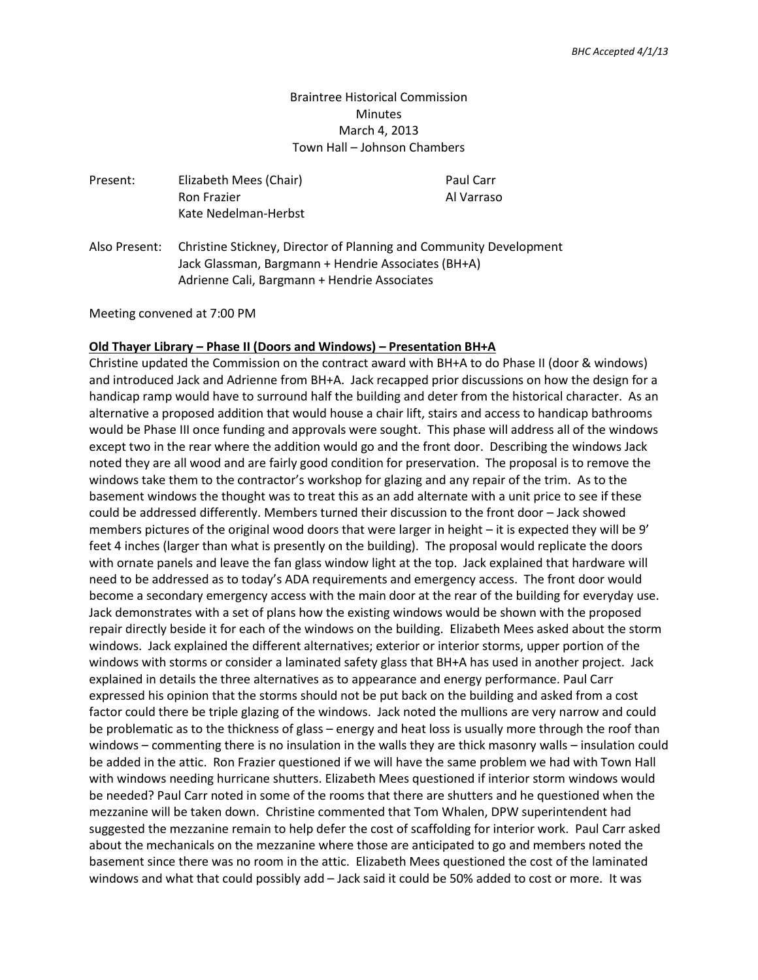### Braintree Historical Commission **Minutes** March 4, 2013 Town Hall – Johnson Chambers

| Present: | Elizabeth Mees (Chair)<br><b>Ron Frazier</b><br>Kate Nedelman-Herbst                                                                                                                    | Paul Carr<br>Al Varraso |
|----------|-----------------------------------------------------------------------------------------------------------------------------------------------------------------------------------------|-------------------------|
|          | Also Present: Christine Stickney, Director of Planning and Community Development<br>Jack Glassman, Bargmann + Hendrie Associates (BH+A)<br>Adrienne Cali, Bargmann + Hendrie Associates |                         |

Meeting convened at 7:00 PM

#### **Old Thayer Library – Phase II (Doors and Windows) – Presentation BH+A**

Christine updated the Commission on the contract award with BH+A to do Phase II (door & windows) and introduced Jack and Adrienne from BH+A. Jack recapped prior discussions on how the design for a handicap ramp would have to surround half the building and deter from the historical character. As an alternative a proposed addition that would house a chair lift, stairs and access to handicap bathrooms would be Phase III once funding and approvals were sought. This phase will address all of the windows except two in the rear where the addition would go and the front door. Describing the windows Jack noted they are all wood and are fairly good condition for preservation. The proposal is to remove the windows take them to the contractor's workshop for glazing and any repair of the trim. As to the basement windows the thought was to treat this as an add alternate with a unit price to see if these could be addressed differently. Members turned their discussion to the front door – Jack showed members pictures of the original wood doors that were larger in height – it is expected they will be 9' feet 4 inches (larger than what is presently on the building). The proposal would replicate the doors with ornate panels and leave the fan glass window light at the top. Jack explained that hardware will need to be addressed as to today's ADA requirements and emergency access. The front door would become a secondary emergency access with the main door at the rear of the building for everyday use. Jack demonstrates with a set of plans how the existing windows would be shown with the proposed repair directly beside it for each of the windows on the building. Elizabeth Mees asked about the storm windows. Jack explained the different alternatives; exterior or interior storms, upper portion of the windows with storms or consider a laminated safety glass that BH+A has used in another project. Jack explained in details the three alternatives as to appearance and energy performance. Paul Carr expressed his opinion that the storms should not be put back on the building and asked from a cost factor could there be triple glazing of the windows. Jack noted the mullions are very narrow and could be problematic as to the thickness of glass – energy and heat loss is usually more through the roof than windows – commenting there is no insulation in the walls they are thick masonry walls – insulation could be added in the attic. Ron Frazier questioned if we will have the same problem we had with Town Hall with windows needing hurricane shutters. Elizabeth Mees questioned if interior storm windows would be needed? Paul Carr noted in some of the rooms that there are shutters and he questioned when the mezzanine will be taken down. Christine commented that Tom Whalen, DPW superintendent had suggested the mezzanine remain to help defer the cost of scaffolding for interior work. Paul Carr asked about the mechanicals on the mezzanine where those are anticipated to go and members noted the basement since there was no room in the attic. Elizabeth Mees questioned the cost of the laminated windows and what that could possibly add – Jack said it could be 50% added to cost or more. It was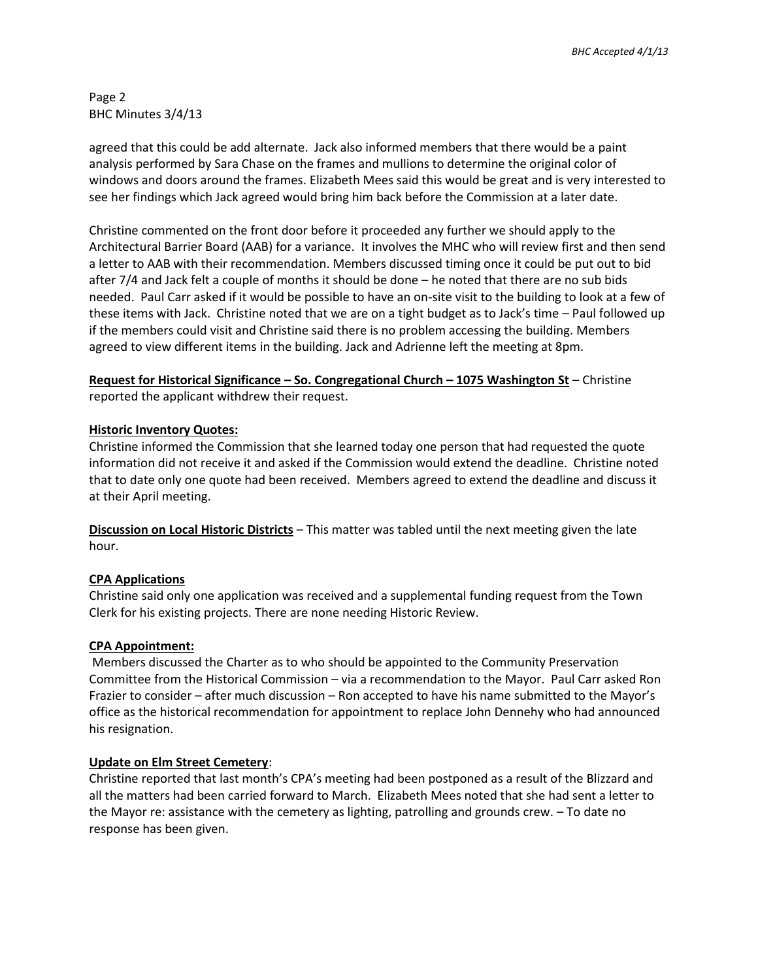Page 2 BHC Minutes 3/4/13

agreed that this could be add alternate. Jack also informed members that there would be a paint analysis performed by Sara Chase on the frames and mullions to determine the original color of windows and doors around the frames. Elizabeth Mees said this would be great and is very interested to see her findings which Jack agreed would bring him back before the Commission at a later date.

Christine commented on the front door before it proceeded any further we should apply to the Architectural Barrier Board (AAB) for a variance. It involves the MHC who will review first and then send a letter to AAB with their recommendation. Members discussed timing once it could be put out to bid after 7/4 and Jack felt a couple of months it should be done – he noted that there are no sub bids needed. Paul Carr asked if it would be possible to have an on-site visit to the building to look at a few of these items with Jack. Christine noted that we are on a tight budget as to Jack's time – Paul followed up if the members could visit and Christine said there is no problem accessing the building. Members agreed to view different items in the building. Jack and Adrienne left the meeting at 8pm.

**Request for Historical Significance – So. Congregational Church – 1075 Washington St** – Christine reported the applicant withdrew their request.

# **Historic Inventory Quotes:**

Christine informed the Commission that she learned today one person that had requested the quote information did not receive it and asked if the Commission would extend the deadline. Christine noted that to date only one quote had been received. Members agreed to extend the deadline and discuss it at their April meeting.

**Discussion on Local Historic Districts** – This matter was tabled until the next meeting given the late hour.

# **CPA Applications**

Christine said only one application was received and a supplemental funding request from the Town Clerk for his existing projects. There are none needing Historic Review.

# **CPA Appointment:**

Members discussed the Charter as to who should be appointed to the Community Preservation Committee from the Historical Commission – via a recommendation to the Mayor. Paul Carr asked Ron Frazier to consider – after much discussion – Ron accepted to have his name submitted to the Mayor's office as the historical recommendation for appointment to replace John Dennehy who had announced his resignation.

#### **Update on Elm Street Cemetery**:

Christine reported that last month's CPA's meeting had been postponed as a result of the Blizzard and all the matters had been carried forward to March. Elizabeth Mees noted that she had sent a letter to the Mayor re: assistance with the cemetery as lighting, patrolling and grounds crew. – To date no response has been given.